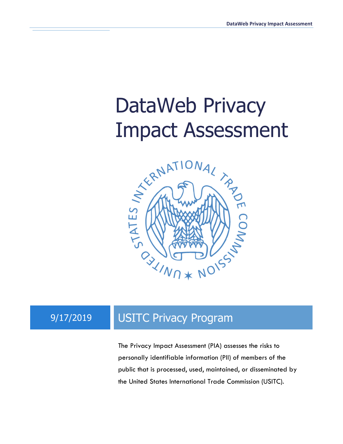# DataWeb Privacy



### 9/17/2019 USITC Privacy Program

The Privacy Impact Assessment (PIA) assesses the risks to personally identifiable information (PII) of members of the public that is processed, used, maintained, or disseminated by the United States International Trade Commission (USITC).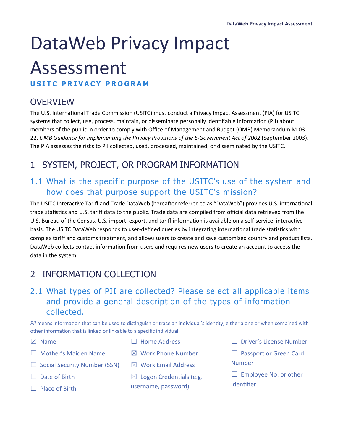## DataWeb Privacy Impact

## Assessment

**USITC PRIVACY PROGRAM**

#### **OVERVIEW**

The U.S. International Trade Commission (USITC) must conduct a Privacy Impact Assessment (PIA) for USITC systems that collect, use, process, maintain, or disseminate personally identifiable information (PII) about members of the public in order to comply with Office of Management and Budget (OMB) Memorandum M-03- 22, *OMB Guidance for Implementing the Privacy Provisions of the E-Government Act of 2002* (September 2003). The PIA assesses the risks to PII collected, used, processed, maintained, or disseminated by the USITC.

#### 1 SYSTEM, PROJECT, OR PROGRAM INFORMATION

#### 1.1 What is the specific purpose of the USITC's use of the system and how does that purpose support the USITC's mission?

The USITC Interactive Tariff and Trade DataWeb (hereafter referred to as "DataWeb") provides U.S. international trade statistics and U.S. tariff data to the public. Trade data are compiled from official data retrieved from the U.S. Bureau of the Census. U.S. import, export, and tariff information is available on a self-service, interactive basis. The USITC DataWeb responds to user-defined queries by integrating international trade statistics with complex tariff and customs treatment, and allows users to create and save customized country and product lists. DataWeb collects contact information from users and requires new users to create an account to access the data in the system.

#### 2 INFORMATION COLLECTION

#### 2.1 What types of PII are collected? Please select all applicable items and provide a general description of the types of information collected.

PII means information that can be used to distinguish or trace an individual's identity, either alone or when combined with other information that is linked or linkable to a specific individual.

 $\n  $\boxtimes$  Name$ 

- ☐ Home Address
- $\boxtimes$  Work Phone Number
- $\Box$  Social Security Number (SSN)

☐ Mother's Maiden Name

- □ Date of Birth
- □ Place of Birth
- ☒ Work Email Address
- $\boxtimes$  Logon Credentials (e.g. username, password)
- ☐ Driver's License Number
- □ Passport or Green Card Number
- $\Box$  Employee No. or other **Identifier**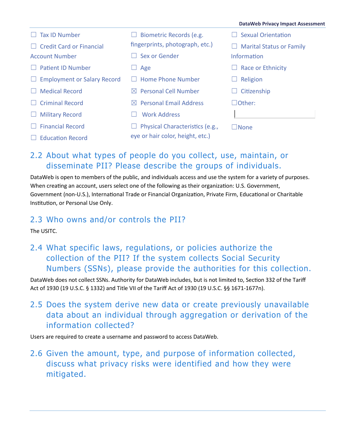|                                                 |                                            | <b>DataWeb Privacy Impact Assessment</b> |
|-------------------------------------------------|--------------------------------------------|------------------------------------------|
| <b>Tax ID Number</b>                            | Biometric Records (e.g.                    | <b>Sexual Orientation</b>                |
| <b>Credit Card or Financial</b><br>$\mathbf{L}$ | fingerprints, photograph, etc.)            | <b>Marital Status or Family</b>          |
| <b>Account Number</b>                           | Sex or Gender                              | Information                              |
| <b>Patient ID Number</b>                        | Age                                        | Race or Ethnicity                        |
| <b>Employment or Salary Record</b><br>Ш         | <b>Home Phone Number</b>                   | Religion                                 |
| <b>Medical Record</b>                           | <b>Personal Cell Number</b><br>$\bowtie$   | Citizenship                              |
| <b>Criminal Record</b>                          | <b>Personal Email Address</b><br>$\bowtie$ | $\Box$ Other:                            |
| $\Box$ Military Record                          | <b>Work Address</b>                        |                                          |
| <b>Financial Record</b>                         | Physical Characteristics (e.g.,            | $\square$ None                           |
| Education Record                                | eye or hair color, height, etc.)           |                                          |

#### 2.2 About what types of people do you collect, use, maintain, or disseminate PII? Please describe the groups of individuals.

DataWeb is open to members of the public, and individuals access and use the system for a variety of purposes. When creating an account, users select one of the following as their organization: U.S. Government, Government (non-U.S.), International Trade or Financial Organization, Private Firm, Educational or Charitable Institution, or Personal Use Only.

#### 2.3 Who owns and/or controls the PII?

The USITC.

2.4 What specific laws, regulations, or policies authorize the collection of the PII? If the system collects Social Security Numbers (SSNs), please provide the authorities for this collection.

DataWeb does not collect SSNs. Authority for DataWeb includes, but is not limited to, Section 332 of the Tariff Act of 1930 (19 U.S.C. § 1332) and Title VII of the Tariff Act of 1930 (19 U.S.C. §§ 1671-1677n).

2.5 Does the system derive new data or create previously unavailable data about an individual through aggregation or derivation of the information collected?

Users are required to create a username and password to access DataWeb.

2.6 Given the amount, type, and purpose of information collected, discuss what privacy risks were identified and how they were mitigated.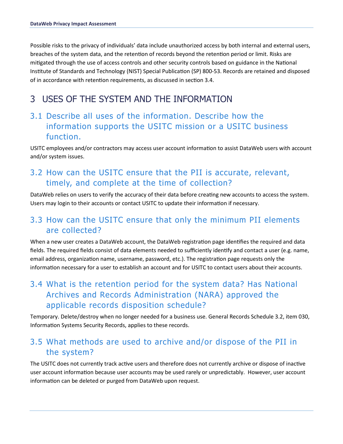Possible risks to the privacy of individuals' data include unauthorized access by both internal and external users, breaches of the system data, and the retention of records beyond the retention period or limit. Risks are mitigated through the use of access controls and other security controls based on guidance in the National Institute of Standards and Technology (NIST) Special Publication (SP) 800-53. Records are retained and disposed of in accordance with retention requirements, as discussed in section 3.4.

#### 3 USES OF THE SYSTEM AND THE INFORMATION

#### 3.1 Describe all uses of the information. Describe how the information supports the USITC mission or a USITC business function.

USITC employees and/or contractors may access user account information to assist DataWeb users with account and/or system issues.

#### 3.2 How can the USITC ensure that the PII is accurate, relevant, timely, and complete at the time of collection?

DataWeb relies on users to verify the accuracy of their data before creating new accounts to access the system. Users may login to their accounts or contact USITC to update their information if necessary.

#### 3.3 How can the USITC ensure that only the minimum PII elements are collected?

When a new user creates a DataWeb account, the DataWeb registration page identifies the required and data fields. The required fields consist of data elements needed to sufficiently identify and contact a user (e.g. name, email address, organization name, username, password, etc.). The registration page requests only the information necessary for a user to establish an account and for USITC to contact users about their accounts.

#### 3.4 What is the retention period for the system data? Has National Archives and Records Administration (NARA) approved the applicable records disposition schedule?

Temporary. Delete/destroy when no longer needed for a business use. General Records Schedule 3.2, item 030, Information Systems Security Records, applies to these records.

#### 3.5 What methods are used to archive and/or dispose of the PII in the system?

The USITC does not currently track active users and therefore does not currently archive or dispose of inactive user account information because user accounts may be used rarely or unpredictably. However, user account information can be deleted or purged from DataWeb upon request.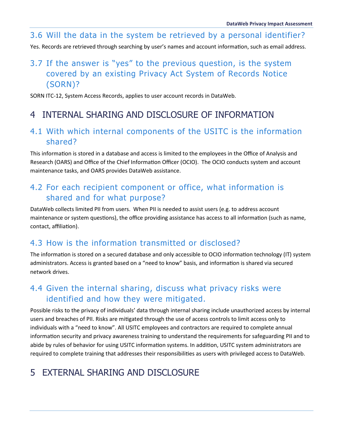#### 3.6 Will the data in the system be retrieved by a personal identifier?

Yes. Records are retrieved through searching by user's names and account information, such as email address.

#### 3.7 If the answer is "yes" to the previous question, is the system covered by an existing Privacy Act System of Records Notice (SORN)?

SORN ITC-12, System Access Records, applies to user account records in DataWeb.

#### 4 INTERNAL SHARING AND DISCLOSURE OF INFORMATION

#### 4.1 With which internal components of the USITC is the information shared?

This information is stored in a database and access is limited to the employees in the Office of Analysis and Research (OARS) and Office of the Chief Information Officer (OCIO). The OCIO conducts system and account maintenance tasks, and OARS provides DataWeb assistance.

#### 4.2 For each recipient component or office, what information is shared and for what purpose?

DataWeb collects limited PII from users. When PII is needed to assist users (e.g. to address account maintenance or system questions), the office providing assistance has access to all information (such as name, contact, affiliation).

#### 4.3 How is the information transmitted or disclosed?

The information is stored on a secured database and only accessible to OCIO information technology (IT) system administrators. Access is granted based on a "need to know" basis, and information is shared via secured network drives.

#### 4.4 Given the internal sharing, discuss what privacy risks were identified and how they were mitigated.

Possible risks to the privacy of individuals' data through internal sharing include unauthorized access by internal users and breaches of PII. Risks are mi�gated through the use of access controls to limit access only to individuals with a "need to know". All USITC employees and contractors are required to complete annual information security and privacy awareness training to understand the requirements for safeguarding PII and to abide by rules of behavior for using USITC information systems. In addition, USITC system administrators are required to complete training that addresses their responsibilities as users with privileged access to DataWeb.

#### 5 EXTERNAL SHARING AND DISCLOSURE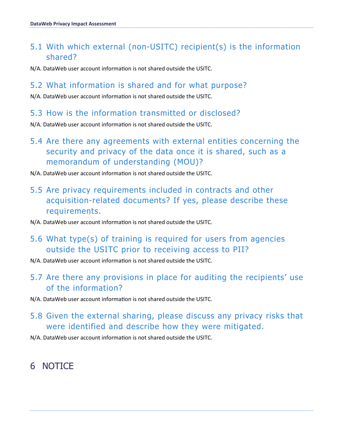#### 5.1 With which external (non-USITC) recipient(s) is the information shared?

N/A. DataWeb user account information is not shared outside the USITC.

#### 5.2 What information is shared and for what purpose?

N/A. DataWeb user account information is not shared outside the USITC.

#### 5.3 How is the information transmitted or disclosed?

N/A. DataWeb user account information is not shared outside the USITC.

- 5.4 Are there any agreements with external entities concerning the security and privacy of the data once it is shared, such as a memorandum of understanding (MOU)?
- N/A. DataWeb user account information is not shared outside the USITC.
- 5.5 Are privacy requirements included in contracts and other acquisition-related documents? If yes, please describe these requirements.
- N/A. DataWeb user account information is not shared outside the USITC.
- 5.6 What type(s) of training is required for users from agencies outside the USITC prior to receiving access to PII?
- N/A. DataWeb user account information is not shared outside the USITC.
- 5.7 Are there any provisions in place for auditing the recipients' use of the information?
- N/A. DataWeb user account information is not shared outside the USITC.
- 5.8 Given the external sharing, please discuss any privacy risks that were identified and describe how they were mitigated.
- N/A. DataWeb user account information is not shared outside the USITC.

#### 6 NOTICE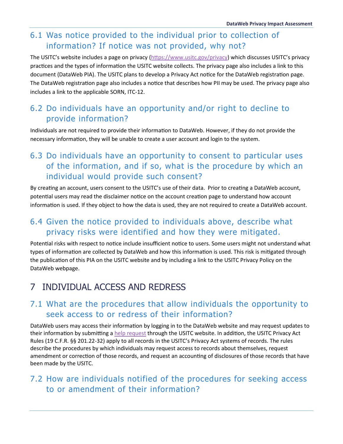#### 6.1 Was notice provided to the individual prior to collection of information? If notice was not provided, why not?

The USITC's website includes a page on privacy [\(htps://www.usitc.gov/privacy\)](https://www.usitc.gov/privacy) which discusses USITC's privacy practices and the types of information the USITC website collects. The privacy page also includes a link to this document (DataWeb PIA). The USITC plans to develop a Privacy Act notice for the DataWeb registration page. The DataWeb registration page also includes a notice that describes how PII may be used. The privacy page also includes a link to the applicable SORN, ITC-12.

#### 6.2 Do individuals have an opportunity and/or right to decline to provide information?

Individuals are not required to provide their information to DataWeb. However, if they do not provide the necessary information, they will be unable to create a user account and login to the system.

#### 6.3 Do individuals have an opportunity to consent to particular uses of the information, and if so, what is the procedure by which an individual would provide such consent?

By creating an account, users consent to the USITC's use of their data. Prior to creating a DataWeb account, potential users may read the disclaimer notice on the account creation page to understand how account information is used. If they object to how the data is used, they are not required to create a DataWeb account.

#### 6.4 Given the notice provided to individuals above, describe what privacy risks were identified and how they were mitigated.

Potential risks with respect to notice include insufficient notice to users. Some users might not understand what types of information are collected by DataWeb and how this information is used. This risk is mitigated through the publication of this PIA on the USITC website and by including a link to the USITC Privacy Policy on the DataWeb webpage.

#### 7 INDIVIDUAL ACCESS AND REDRESS

#### 7.1 What are the procedures that allow individuals the opportunity to seek access to or redress of their information?

DataWeb users may access their information by logging in to the DataWeb website and may request updates to their information by submitting a [help request](https://www.usitc.gov/dataweb_help.htm) through the USITC website. In addition, the USITC Privacy Act Rules (19 C.F.R. §§ 201.22-32) apply to all records in the USITC's Privacy Act systems of records. The rules describe the procedures by which individuals may request access to records about themselves, request amendment or correction of those records, and request an accounting of disclosures of those records that have been made by the USITC.

#### 7.2 How are individuals notified of the procedures for seeking access to or amendment of their information?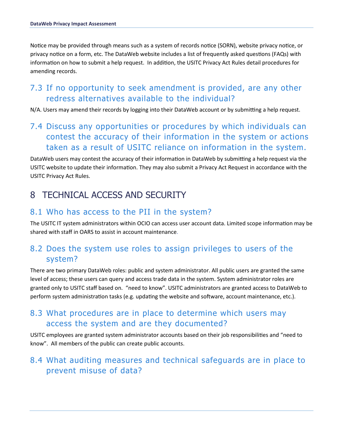Notice may be provided through means such as a system of records notice (SORN), website privacy notice, or privacy notice on a form, etc. The DataWeb website includes a list of frequently asked questions (FAQs) with information on how to submit a help request. In addition, the USITC Privacy Act Rules detail procedures for amending records.

#### 7.3 If no opportunity to seek amendment is provided, are any other redress alternatives available to the individual?

N/A. Users may amend their records by logging into their DataWeb account or by submitting a help request.

#### 7.4 Discuss any opportunities or procedures by which individuals can contest the accuracy of their information in the system or actions taken as a result of USITC reliance on information in the system.

DataWeb users may contest the accuracy of their information in DataWeb by submitting a help request via the USITC website to update their information. They may also submit a Privacy Act Request in accordance with the USITC Privacy Act Rules.

#### 8 TECHNICAL ACCESS AND SECURITY

#### 8.1 Who has access to the PII in the system?

The USITC IT system administrators within OCIO can access user account data. Limited scope information may be shared with staff in OARS to assist in account maintenance.

#### 8.2 Does the system use roles to assign privileges to users of the system?

There are two primary DataWeb roles: public and system administrator. All public users are granted the same level of access; these users can query and access trade data in the system. System administrator roles are granted only to USITC staff based on. "need to know". USITC administrators are granted access to DataWeb to perform system administration tasks (e.g. updating the website and software, account maintenance, etc.).

#### 8.3 What procedures are in place to determine which users may access the system and are they documented?

USITC employees are granted system administrator accounts based on their job responsibili�es and "need to know". All members of the public can create public accounts.

#### 8.4 What auditing measures and technical safeguards are in place to prevent misuse of data?